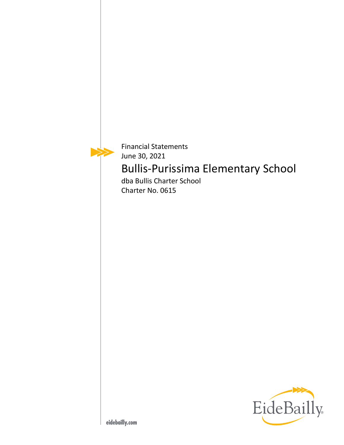Financial Statements June 30, 2021

# Bullis-Purissima Elementary School

dba Bullis Charter School Charter No. 0615

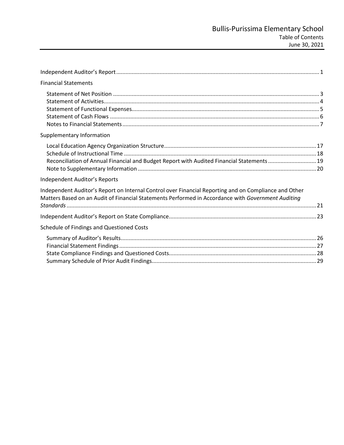| <b>Financial Statements</b>                                                                                                                                                                                 |
|-------------------------------------------------------------------------------------------------------------------------------------------------------------------------------------------------------------|
|                                                                                                                                                                                                             |
| Supplementary Information                                                                                                                                                                                   |
| Reconciliation of Annual Financial and Budget Report with Audited Financial Statements  19                                                                                                                  |
| Independent Auditor's Reports                                                                                                                                                                               |
| Independent Auditor's Report on Internal Control over Financial Reporting and on Compliance and Other<br>Matters Based on an Audit of Financial Statements Performed in Accordance with Government Auditing |
|                                                                                                                                                                                                             |
| Schedule of Findings and Questioned Costs                                                                                                                                                                   |
|                                                                                                                                                                                                             |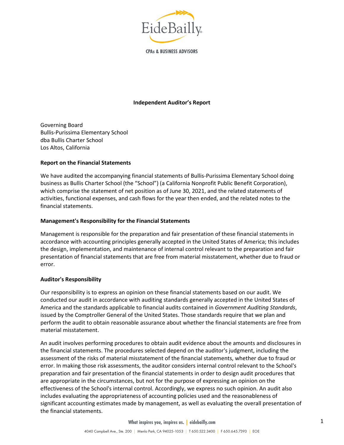

**CPAs & BUSINESS ADVISORS** 

## **Independent Auditor's Report**

<span id="page-2-0"></span>Governing Board Bullis-Purissima Elementary School dba Bullis Charter School Los Altos, California

## **Report on the Financial Statements**

We have audited the accompanying financial statements of Bullis-Purissima Elementary School doing business as Bullis Charter School (the "School") (a California Nonprofit Public Benefit Corporation), which comprise the statement of net position as of June 30, 2021, and the related statements of activities, functional expenses, and cash flows for the year then ended, and the related notes to the financial statements.

## **Management's Responsibility for the Financial Statements**

Management is responsible for the preparation and fair presentation of these financial statements in accordance with accounting principles generally accepted in the United States of America; this includes the design, implementation, and maintenance of internal control relevant to the preparation and fair presentation of financial statements that are free from material misstatement, whether due to fraud or error.

#### **Auditor's Responsibility**

Our responsibility is to express an opinion on these financial statements based on our audit. We conducted our audit in accordance with auditing standards generally accepted in the United States of America and the standards applicable to financial audits contained in *Government Auditing Standards*, issued by the Comptroller General of the United States. Those standards require that we plan and perform the audit to obtain reasonable assurance about whether the financial statements are free from material misstatement.

An audit involves performing procedures to obtain audit evidence about the amounts and disclosures in the financial statements. The procedures selected depend on the auditor's judgment, including the assessment of the risks of material misstatement of the financial statements, whether due to fraud or error. In making those risk assessments, the auditor considers internal control relevant to the School's preparation and fair presentation of the financial statements in order to design audit procedures that are appropriate in the circumstances, but not for the purpose of expressing an opinion on the effectiveness of the School's internal control. Accordingly, we express no such opinion. An audit also includes evaluating the appropriateness of accounting policies used and the reasonableness of significant accounting estimates made by management, as well as evaluating the overall presentation of the financial statements.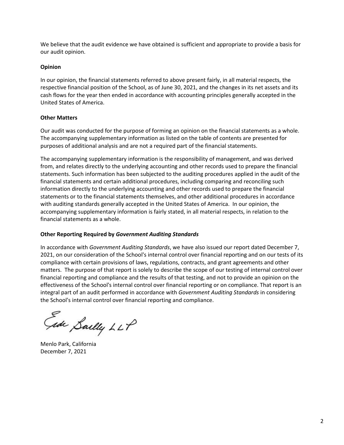We believe that the audit evidence we have obtained is sufficient and appropriate to provide a basis for our audit opinion.

## **Opinion**

In our opinion, the financial statements referred to above present fairly, in all material respects, the respective financial position of the School, as of June 30, 2021, and the changes in its net assets and its cash flows for the year then ended in accordance with accounting principles generally accepted in the United States of America.

## **Other Matters**

Our audit was conducted for the purpose of forming an opinion on the financial statements as a whole. The accompanying supplementary information as listed on the table of contents are presented for purposes of additional analysis and are not a required part of the financial statements.

The accompanying supplementary information is the responsibility of management, and was derived from, and relates directly to the underlying accounting and other records used to prepare the financial statements. Such information has been subjected to the auditing procedures applied in the audit of the financial statements and certain additional procedures, including comparing and reconciling such information directly to the underlying accounting and other records used to prepare the financial statements or to the financial statements themselves, and other additional procedures in accordance with auditing standards generally accepted in the United States of America. In our opinion, the accompanying supplementary information is fairly stated, in all material respects, in relation to the financial statements as a whole.

## **Other Reporting Required by** *Government Auditing Standards*

In accordance with *Government Auditing Standards*, we have also issued our report dated December 7, 2021, on our consideration of the School's internal control over financial reporting and on our tests of its compliance with certain provisions of laws, regulations, contracts, and grant agreements and other matters. The purpose of that report is solely to describe the scope of our testing of internal control over financial reporting and compliance and the results of that testing, and not to provide an opinion on the effectiveness of the School's internal control over financial reporting or on compliance. That report is an integral part of an audit performed in accordance with *Government Auditing Standards* in considering the School's internal control over financial reporting and compliance.

Gide Sailly LLP

Menlo Park, California December 7, 2021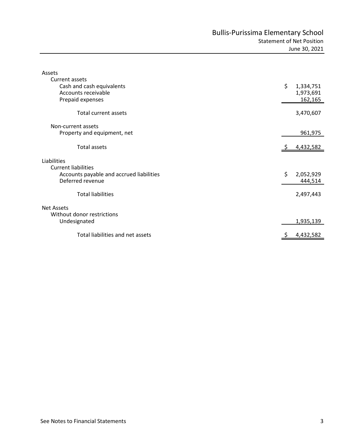<span id="page-4-1"></span><span id="page-4-0"></span>

| Assets                                   |                 |
|------------------------------------------|-----------------|
| Current assets                           |                 |
| Cash and cash equivalents                | \$<br>1,334,751 |
| Accounts receivable                      | 1,973,691       |
| Prepaid expenses                         | 162,165         |
| Total current assets                     | 3,470,607       |
| Non-current assets                       |                 |
| Property and equipment, net              | 961,975         |
|                                          |                 |
| Total assets                             | 4,432,582       |
| Liabilities                              |                 |
| <b>Current liabilities</b>               |                 |
| Accounts payable and accrued liabilities | \$<br>2,052,929 |
| Deferred revenue                         | 444,514         |
|                                          |                 |
| <b>Total liabilities</b>                 | 2,497,443       |
|                                          |                 |
| Net Assets                               |                 |
| Without donor restrictions               |                 |
| Undesignated                             | 1,935,139       |
| Total liabilities and net assets         |                 |
|                                          | 4,432,582       |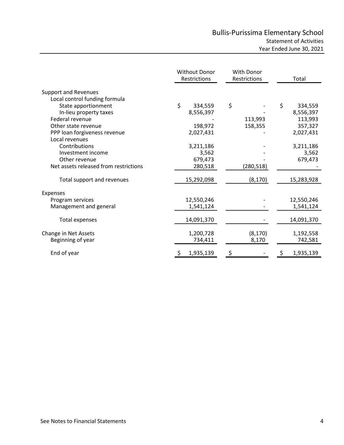<span id="page-5-0"></span>

|                                       | <b>Without Donor</b><br>Restrictions | With Donor<br>Restrictions | Total         |
|---------------------------------------|--------------------------------------|----------------------------|---------------|
| <b>Support and Revenues</b>           |                                      |                            |               |
| Local control funding formula         |                                      |                            |               |
| State apportionment                   | \$<br>334,559                        | \$                         | \$<br>334,559 |
| In-lieu property taxes                | 8,556,397                            |                            | 8,556,397     |
| Federal revenue                       |                                      | 113,993                    | 113,993       |
| Other state revenue                   | 198,972                              | 158,355                    | 357,327       |
| PPP loan forgiveness revenue          | 2,027,431                            |                            | 2,027,431     |
| Local revenues                        |                                      |                            |               |
| Contributions                         | 3,211,186                            |                            | 3,211,186     |
| Investment income                     | 3,562                                |                            | 3,562         |
| Other revenue                         | 679,473                              |                            | 679,473       |
| Net assets released from restrictions | 280,518                              | (280, 518)                 |               |
| Total support and revenues            | 15,292,098                           | (8, 170)                   | 15,283,928    |
| Expenses                              |                                      |                            |               |
| Program services                      | 12,550,246                           |                            | 12,550,246    |
| Management and general                | 1,541,124                            |                            | 1,541,124     |
| Total expenses                        | 14,091,370                           |                            | 14,091,370    |
| Change in Net Assets                  | 1,200,728                            | (8, 170)                   | 1,192,558     |
| Beginning of year                     | 734,411                              | 8,170                      | 742,581       |
| End of year                           | 1,935,139                            |                            | 1,935,139     |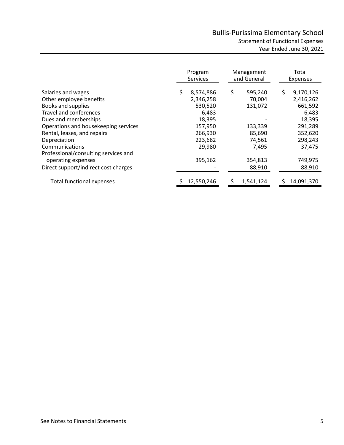<span id="page-6-0"></span>

|                                               | Program<br>Services  | Management<br>and General | Total<br><b>Expenses</b> |
|-----------------------------------------------|----------------------|---------------------------|--------------------------|
| Salaries and wages                            | 8,574,886            | \$<br>595,240             | \$<br>9,170,126          |
| Other employee benefits<br>Books and supplies | 2,346,258<br>530,520 | 70,004<br>131,072         | 2,416,262<br>661,592     |
| <b>Travel and conferences</b>                 | 6,483                |                           | 6,483                    |
| Dues and memberships                          | 18,395               |                           | 18,395                   |
| Operations and housekeeping services          | 157,950              | 133,339                   | 291,289                  |
| Rental, leases, and repairs                   | 266,930              | 85,690                    | 352,620                  |
| Depreciation                                  | 223,682              | 74,561                    | 298,243                  |
| Communications                                | 29,980               | 7,495                     | 37,475                   |
| Professional/consulting services and          |                      |                           |                          |
| operating expenses                            | 395,162              | 354,813                   | 749,975                  |
| Direct support/indirect cost charges          |                      | 88,910                    | 88,910                   |
| <b>Total functional expenses</b>              | 12,550,246           | 1,541,124                 | 14,091,370               |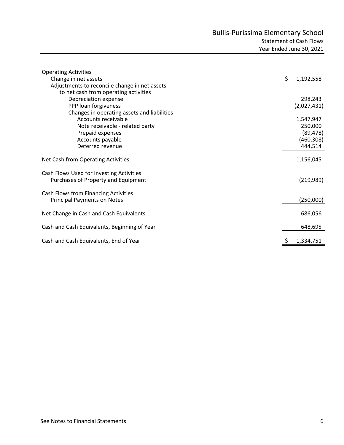# Bullis-Purissima Elementary School Statement of Cash Flows Year Ended June 30, 2021

<span id="page-7-0"></span>

| <b>Operating Activities</b><br>Change in net assets<br>Adjustments to reconcile change in net assets<br>to net cash from operating activities | \$<br>1,192,558                                            |
|-----------------------------------------------------------------------------------------------------------------------------------------------|------------------------------------------------------------|
| Depreciation expense<br>PPP loan forgiveness<br>Changes in operating assets and liabilities                                                   | 298,243<br>(2,027,431)                                     |
| Accounts receivable<br>Note receivable - related party<br>Prepaid expenses<br>Accounts payable<br>Deferred revenue                            | 1,547,947<br>250,000<br>(89, 478)<br>(460, 308)<br>444,514 |
| Net Cash from Operating Activities                                                                                                            | 1,156,045                                                  |
| Cash Flows Used for Investing Activities<br>Purchases of Property and Equipment                                                               | (219,989)                                                  |
| Cash Flows from Financing Activities<br><b>Principal Payments on Notes</b>                                                                    | (250,000)                                                  |
| Net Change in Cash and Cash Equivalents                                                                                                       | 686,056                                                    |
| Cash and Cash Equivalents, Beginning of Year                                                                                                  | 648,695                                                    |
| Cash and Cash Equivalents, End of Year                                                                                                        | 1,334,751                                                  |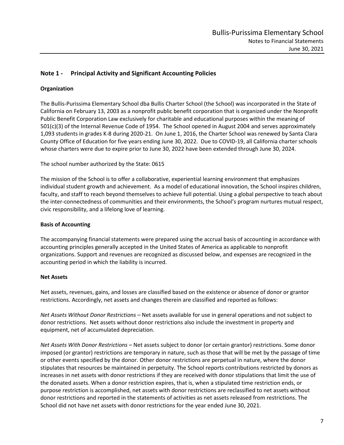## <span id="page-8-0"></span>**Note 1 - Principal Activity and Significant Accounting Policies**

## **Organization**

The Bullis-Purissima Elementary School dba Bullis Charter School (the School) was incorporated in the State of California on February 13, 2003 as a nonprofit public benefit corporation that is organized under the Nonprofit Public Benefit Corporation Law exclusively for charitable and educational purposes within the meaning of 501(c)(3) of the Internal Revenue Code of 1954. The School opened in August 2004 and serves approximately 1,093 students in grades K-8 during 2020-21. On June 1, 2016, the Charter School was renewed by Santa Clara County Office of Education for five years ending June 30, 2022. Due to COVID-19, all California charter schools whose charters were due to expire prior to June 30, 2022 have been extended through June 30, 2024.

The school number authorized by the State: 0615

The mission of the School is to offer a collaborative, experiential learning environment that emphasizes individual student growth and achievement. As a model of educational innovation, the School inspires children, faculty, and staff to reach beyond themselves to achieve full potential. Using a global perspective to teach about the inter-connectedness of communities and their environments, the School's program nurtures mutual respect, civic responsibility, and a lifelong love of learning.

#### **Basis of Accounting**

The accompanying financial statements were prepared using the accrual basis of accounting in accordance with accounting principles generally accepted in the United States of America as applicable to nonprofit organizations. Support and revenues are recognized as discussed below, and expenses are recognized in the accounting period in which the liability is incurred.

#### **Net Assets**

Net assets, revenues, gains, and losses are classified based on the existence or absence of donor or grantor restrictions. Accordingly, net assets and changes therein are classified and reported as follows:

*Net Assets Without Donor Restrictions* – Net assets available for use in general operations and not subject to donor restrictions. Net assets without donor restrictions also include the investment in property and equipment, net of accumulated depreciation.

*Net Assets With Donor Restrictions* – Net assets subject to donor (or certain grantor) restrictions. Some donor imposed (or grantor) restrictions are temporary in nature, such as those that will be met by the passage of time or other events specified by the donor. Other donor restrictions are perpetual in nature, where the donor stipulates that resources be maintained in perpetuity. The School reports contributions restricted by donors as increases in net assets with donor restrictions if they are received with donor stipulations that limit the use of the donated assets. When a donor restriction expires, that is, when a stipulated time restriction ends, or purpose restriction is accomplished, net assets with donor restrictions are reclassified to net assets without donor restrictions and reported in the statements of activities as net assets released from restrictions. The School did not have net assets with donor restrictions for the year ended June 30, 2021.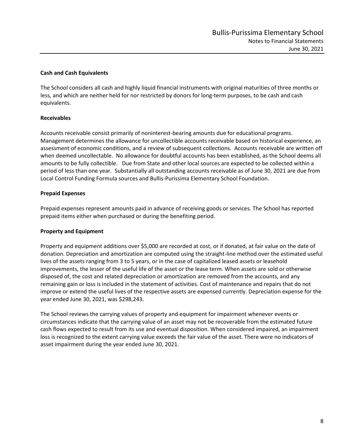## **Cash and Cash Equivalents**

The School considers all cash and highly liquid financial instruments with original maturities of three months or less, and which are neither held for nor restricted by donors for long-term purposes, to be cash and cash equivalents.

## **Receivables**

Accounts receivable consist primarily of noninterest-bearing amounts due for educational programs. Management determines the allowance for uncollectible accounts receivable based on historical experience, an assessment of economic conditions, and a review of subsequent collections. Accounts receivable are written off when deemed uncollectable. No allowance for doubtful accounts has been established, as the School deems all amounts to be fully collectible. Due from State and other local sources are expected to be collected within a period of less than one year. Substantially all outstanding accounts receivable as of June 30, 2021 are due from Local Control Funding Formula sources and Bullis-Purissima Elementary School Foundation.

## **Prepaid Expenses**

Prepaid expenses represent amounts paid in advance of receiving goods or services. The School has reported prepaid items either when purchased or during the benefiting period.

## **Property and Equipment**

Property and equipment additions over \$5,000 are recorded at cost, or if donated, at fair value on the date of donation. Depreciation and amortization are computed using the straight-line method over the estimated useful lives of the assets ranging from 3 to 5 years, or in the case of capitalized leased assets or leasehold improvements, the lesser of the useful life of the asset or the lease term. When assets are sold or otherwise disposed of, the cost and related depreciation or amortization are removed from the accounts, and any remaining gain or loss is included in the statement of activities. Cost of maintenance and repairs that do not improve or extend the useful lives of the respective assets are expensed currently. Depreciation expense for the year ended June 30, 2021, was \$298,243.

The School reviews the carrying values of property and equipment for impairment whenever events or circumstances indicate that the carrying value of an asset may not be recoverable from the estimated future cash flows expected to result from its use and eventual disposition. When considered impaired, an impairment loss is recognized to the extent carrying value exceeds the fair value of the asset. There were no indicators of asset impairment during the year ended June 30, 2021.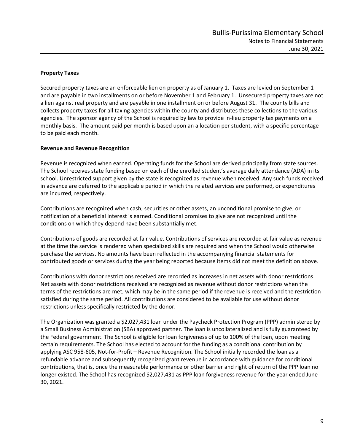## **Property Taxes**

Secured property taxes are an enforceable lien on property as of January 1. Taxes are levied on September 1 and are payable in two installments on or before November 1 and February 1. Unsecured property taxes are not a lien against real property and are payable in one installment on or before August 31. The county bills and collects property taxes for all taxing agencies within the county and distributes these collections to the various agencies. The sponsor agency of the School is required by law to provide in-lieu property tax payments on a monthly basis. The amount paid per month is based upon an allocation per student, with a specific percentage to be paid each month.

## **Revenue and Revenue Recognition**

Revenue is recognized when earned. Operating funds for the School are derived principally from state sources. The School receives state funding based on each of the enrolled student's average daily attendance (ADA) in its school. Unrestricted support given by the state is recognized as revenue when received. Any such funds received in advance are deferred to the applicable period in which the related services are performed, or expenditures are incurred, respectively.

Contributions are recognized when cash, securities or other assets, an unconditional promise to give, or notification of a beneficial interest is earned. Conditional promises to give are not recognized until the conditions on which they depend have been substantially met.

Contributions of goods are recorded at fair value. Contributions of services are recorded at fair value as revenue at the time the service is rendered when specialized skills are required and when the School would otherwise purchase the services. No amounts have been reflected in the accompanying financial statements for contributed goods or services during the year being reported because items did not meet the definition above.

Contributions with donor restrictions received are recorded as increases in net assets with donor restrictions. Net assets with donor restrictions received are recognized as revenue without donor restrictions when the terms of the restrictions are met, which may be in the same period if the revenue is received and the restriction satisfied during the same period. All contributions are considered to be available for use without donor restrictions unless specifically restricted by the donor.

The Organization was granted a \$2,027,431 loan under the Paycheck Protection Program (PPP) administered by a Small Business Administration (SBA) approved partner. The loan is uncollateralized and is fully guaranteed by the Federal government. The School is eligible for loan forgiveness of up to 100% of the loan, upon meeting certain requirements. The School has elected to account for the funding as a conditional contribution by applying ASC 958-605, Not-for-Profit – Revenue Recognition. The School initially recorded the loan as a refundable advance and subsequently recognized grant revenue in accordance with guidance for conditional contributions, that is, once the measurable performance or other barrier and right of return of the PPP loan no longer existed. The School has recognized \$2,027,431 as PPP loan forgiveness revenue for the year ended June 30, 2021.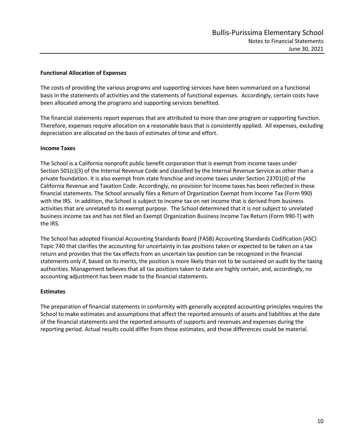## **Functional Allocation of Expenses**

The costs of providing the various programs and supporting services have been summarized on a functional basis in the statements of activities and the statements of functional expenses. Accordingly, certain costs have been allocated among the programs and supporting services benefited.

The financial statements report expenses that are attributed to more than one program or supporting function. Therefore, expenses require allocation on a reasonable basis that is consistently applied. All expenses, excluding depreciation are allocated on the basis of estimates of time and effort.

## **Income Taxes**

The School is a California nonprofit public benefit corporation that is exempt from income taxes under Section 501(c)(3) of the Internal Revenue Code and classified by the Internal Revenue Service as other than a private foundation. It is also exempt from state franchise and income taxes under Section 23701(d) of the California Revenue and Taxation Code. Accordingly, no provision for income taxes has been reflected in these financial statements. The School annually files a Return of Organization Exempt from Income Tax (Form 990) with the IRS. In addition, the School is subject to income tax on net income that is derived from business activities that are unrelated to its exempt purpose. The School determined that it is not subject to unrelated business income tax and has not filed an Exempt Organization Business Income Tax Return (Form 990-T) with the IRS.

The School has adopted Financial Accounting Standards Board (FASB) Accounting Standards Codification (ASC) Topic 740 that clarifies the accounting for uncertainty in tax positions taken or expected to be taken on a tax return and provides that the tax effects from an uncertain tax position can be recognized in the financial statements only if, based on its merits, the position is more likely than not to be sustained on audit by the taxing authorities. Management believes that all tax positions taken to date are highly certain, and, accordingly, no accounting adjustment has been made to the financial statements.

## **Estimates**

The preparation of financial statements in conformity with generally accepted accounting principles requires the School to make estimates and assumptions that affect the reported amounts of assets and liabilities at the date of the financial statements and the reported amounts of supports and revenues and expenses during the reporting period. Actual results could differ from those estimates, and those differences could be material.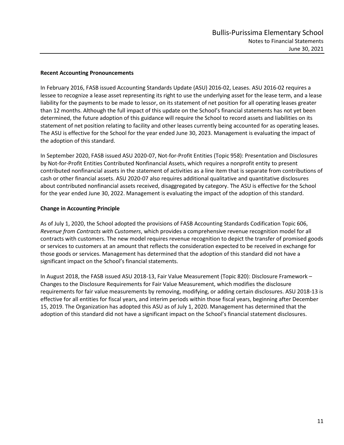## **Recent Accounting Pronouncements**

In February 2016, FASB issued Accounting Standards Update (ASU) 2016-02, Leases. ASU 2016-02 requires a lessee to recognize a lease asset representing its right to use the underlying asset for the lease term, and a lease liability for the payments to be made to lessor, on its statement of net position for all operating leases greater than 12 months. Although the full impact of this update on the School's financial statements has not yet been determined, the future adoption of this guidance will require the School to record assets and liabilities on its statement of net position relating to facility and other leases currently being accounted for as operating leases. The ASU is effective for the School for the year ended June 30, 2023. Management is evaluating the impact of the adoption of this standard.

In September 2020, FASB issued ASU 2020-07, Not-for-Profit Entities (Topic 958): Presentation and Disclosures by Not-for-Profit Entities Contributed Nonfinancial Assets, which requires a nonprofit entity to present contributed nonfinancial assets in the statement of activities as a line item that is separate from contributions of cash or other financial assets. ASU 2020-07 also requires additional qualitative and quantitative disclosures about contributed nonfinancial assets received, disaggregated by category. The ASU is effective for the School for the year ended June 30, 2022. Management is evaluating the impact of the adoption of this standard.

## **Change in Accounting Principle**

As of July 1, 2020, the School adopted the provisions of FASB Accounting Standards Codification Topic 606, *Revenue from Contracts with Customers*, which provides a comprehensive revenue recognition model for all contracts with customers. The new model requires revenue recognition to depict the transfer of promised goods or services to customers at an amount that reflects the consideration expected to be received in exchange for those goods or services. Management has determined that the adoption of this standard did not have a significant impact on the School's financial statements.

In August 2018, the FASB issued ASU 2018-13, Fair Value Measurement (Topic 820): Disclosure Framework – Changes to the Disclosure Requirements for Fair Value Measurement, which modifies the disclosure requirements for fair value measurements by removing, modifying, or adding certain disclosures. ASU 2018-13 is effective for all entities for fiscal years, and interim periods within those fiscal years, beginning after December 15, 2019. The Organization has adopted this ASU as of July 1, 2020. Management has determined that the adoption of this standard did not have a significant impact on the School's financial statement disclosures.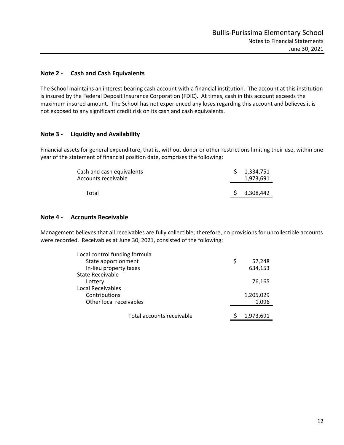## **Note 2 - Cash and Cash Equivalents**

The School maintains an interest bearing cash account with a financial institution. The account at this institution is insured by the Federal Deposit Insurance Corporation (FDIC). At times, cash in this account exceeds the maximum insured amount. The School has not experienced any loses regarding this account and believes it is not exposed to any significant credit risk on its cash and cash equivalents.

## **Note 3 - Liquidity and Availability**

Financial assets for general expenditure, that is, without donor or other restrictions limiting their use, within one year of the statement of financial position date, comprises the following:

| Cash and cash equivalents<br>Accounts receivable | $5 \quad 1,334,751$<br>1,973,691 |
|--------------------------------------------------|----------------------------------|
| Total                                            | S 3.308.442                      |

## **Note 4 - Accounts Receivable**

Management believes that all receivables are fully collectible; therefore, no provisions for uncollectible accounts were recorded. Receivables at June 30, 2021, consisted of the following:

| Local control funding formula |              |
|-------------------------------|--------------|
| State apportionment           | \$<br>57,248 |
| In-lieu property taxes        | 634,153      |
| State Receivable              |              |
| Lottery                       | 76,165       |
| Local Receivables             |              |
| Contributions                 | 1,205,029    |
| Other local receivables       | 1,096        |
|                               |              |
| Total accounts receivable     | 1,973,691    |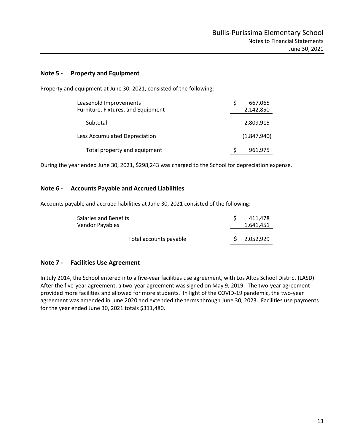## **Note 5 - Property and Equipment**

Property and equipment at June 30, 2021, consisted of the following:

| Leasehold Improvements<br>Furniture, Fixtures, and Equipment | S | 667,065<br>2,142,850 |
|--------------------------------------------------------------|---|----------------------|
| Subtotal                                                     |   | 2,809,915            |
| Less Accumulated Depreciation                                |   | (1,847,940)          |
| Total property and equipment                                 |   | 961,975              |

During the year ended June 30, 2021, \$298,243 was charged to the School for depreciation expense.

## **Note 6 - Accounts Payable and Accrued Liabilities**

Accounts payable and accrued liabilities at June 30, 2021 consisted of the following:

| Salaries and Benefits<br>Vendor Payables |  | 411.478<br>1,641,451 |
|------------------------------------------|--|----------------------|
| Total accounts payable                   |  | \$2,052,929          |

## **Note 7 - Facilities Use Agreement**

In July 2014, the School entered into a five-year facilities use agreement, with Los Altos School District (LASD). After the five-year agreement, a two-year agreement was signed on May 9, 2019. The two-year agreement provided more facilities and allowed for more students. In light of the COVID-19 pandemic, the two-year agreement was amended in June 2020 and extended the terms through June 30, 2023. Facilities use payments for the year ended June 30, 2021 totals \$311,480.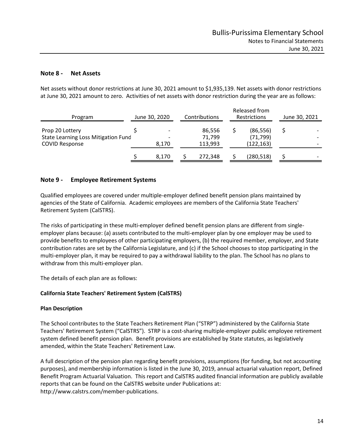## **Note 8 - Net Assets**

Net assets without donor restrictions at June 30, 2021 amount to \$1,935,139. Net assets with donor restrictions at June 30, 2021 amount to zero. Activities of net assets with donor restriction during the year are as follows:

| Program                                                                         | June 30, 2020                                                 | Contributions               | Released from<br><b>Restrictions</b> | June 30, 2021 |
|---------------------------------------------------------------------------------|---------------------------------------------------------------|-----------------------------|--------------------------------------|---------------|
| Prop 20 Lottery<br>State Learning Loss Mitigation Fund<br><b>COVID Response</b> | $\overline{\phantom{a}}$<br>$\overline{\phantom{a}}$<br>8.170 | 86,556<br>71,799<br>113,993 | (86, 556)<br>(71, 799)<br>(122, 163) |               |
|                                                                                 | 8,170                                                         | 272,348                     | (280,518)                            |               |

## **Note 9 - Employee Retirement Systems**

Qualified employees are covered under multiple-employer defined benefit pension plans maintained by agencies of the State of California. Academic employees are members of the California State Teachers' Retirement System (CalSTRS).

The risks of participating in these multi-employer defined benefit pension plans are different from singleemployer plans because: (a) assets contributed to the multi-employer plan by one employer may be used to provide benefits to employees of other participating employers, (b) the required member, employer, and State contribution rates are set by the California Legislature, and (c) if the School chooses to stop participating in the multi-employer plan, it may be required to pay a withdrawal liability to the plan. The School has no plans to withdraw from this multi-employer plan.

The details of each plan are as follows:

## **California State Teachers' Retirement System (CalSTRS)**

## **Plan Description**

The School contributes to the State Teachers Retirement Plan ("STRP") administered by the California State Teachers' Retirement System ("CalSTRS"). STRP is a cost-sharing multiple-employer public employee retirement system defined benefit pension plan. Benefit provisions are established by State statutes, as legislatively amended, within the State Teachers' Retirement Law.

A full description of the pension plan regarding benefit provisions, assumptions (for funding, but not accounting purposes), and membership information is listed in the June 30, 2019, annual actuarial valuation report, Defined Benefit Program Actuarial Valuation. This report and CalSTRS audited financial information are publicly available reports that can be found on the CalSTRS website under Publications at: http://www.calstrs.com/member-publications.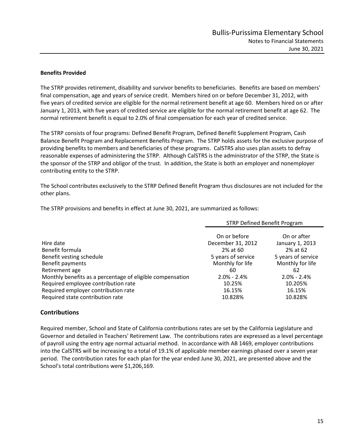## **Benefits Provided**

The STRP provides retirement, disability and survivor benefits to beneficiaries. Benefits are based on members' final compensation, age and years of service credit. Members hired on or before December 31, 2012, with five years of credited service are eligible for the normal retirement benefit at age 60. Members hired on or after January 1, 2013, with five years of credited service are eligible for the normal retirement benefit at age 62. The normal retirement benefit is equal to 2.0% of final compensation for each year of credited service.

The STRP consists of four programs: Defined Benefit Program, Defined Benefit Supplement Program, Cash Balance Benefit Program and Replacement Benefits Program. The STRP holds assets for the exclusive purpose of providing benefits to members and beneficiaries of these programs. CalSTRS also uses plan assets to defray reasonable expenses of administering the STRP. Although CalSTRS is the administrator of the STRP, the State is the sponsor of the STRP and obligor of the trust. In addition, the State is both an employer and nonemployer contributing entity to the STRP.

The School contributes exclusively to the STRP Defined Benefit Program thus disclosures are not included for the other plans.

The STRP provisions and benefits in effect at June 30, 2021, are summarized as follows:

|                                                           | <b>STRP Defined Benefit Program</b> |                                |  |
|-----------------------------------------------------------|-------------------------------------|--------------------------------|--|
| Hire date                                                 | On or before<br>December 31, 2012   | On or after<br>January 1, 2013 |  |
| Benefit formula<br>Benefit vesting schedule               | 2% at 60<br>5 years of service      | 2% at 62<br>5 years of service |  |
| Benefit payments                                          | Monthly for life                    | Monthly for life               |  |
| Retirement age                                            | 60                                  | 62                             |  |
| Monthly benefits as a percentage of eligible compensation | $2.0\% - 2.4\%$                     | $2.0\% - 2.4\%$                |  |
| Required employee contribution rate                       | 10.25%                              | 10.205%                        |  |
| Required employer contribution rate                       | 16.15%                              | 16.15%                         |  |
| Required state contribution rate                          | 10.828%                             | 10.828%                        |  |

## **Contributions**

Required member, School and State of California contributions rates are set by the California Legislature and Governor and detailed in Teachers' Retirement Law. The contributions rates are expressed as a level percentage of payroll using the entry age normal actuarial method. In accordance with AB 1469, employer contributions into the CalSTRS will be increasing to a total of 19.1% of applicable member earnings phased over a seven year period. The contribution rates for each plan for the year ended June 30, 2021, are presented above and the School's total contributions were \$1,206,169.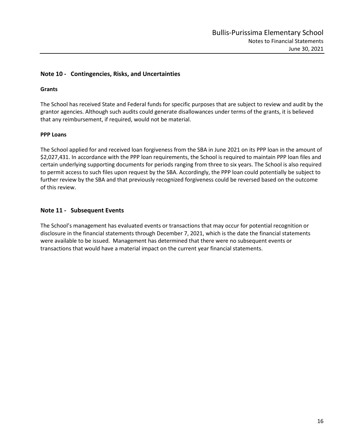## **Note 10 - Contingencies, Risks, and Uncertainties**

## **Grants**

The School has received State and Federal funds for specific purposes that are subject to review and audit by the grantor agencies. Although such audits could generate disallowances under terms of the grants, it is believed that any reimbursement, if required, would not be material.

#### **PPP Loans**

The School applied for and received loan forgiveness from the SBA in June 2021 on its PPP loan in the amount of \$2,027,431. In accordance with the PPP loan requirements, the School is required to maintain PPP loan files and certain underlying supporting documents for periods ranging from three to six years. The School is also required to permit access to such files upon request by the SBA. Accordingly, the PPP loan could potentially be subject to further review by the SBA and that previously recognized forgiveness could be reversed based on the outcome of this review.

## **Note 11 - Subsequent Events**

The School's management has evaluated events or transactions that may occur for potential recognition or disclosure in the financial statements through December 7, 2021, which is the date the financial statements were available to be issued. Management has determined that there were no subsequent events or transactions that would have a material impact on the current year financial statements.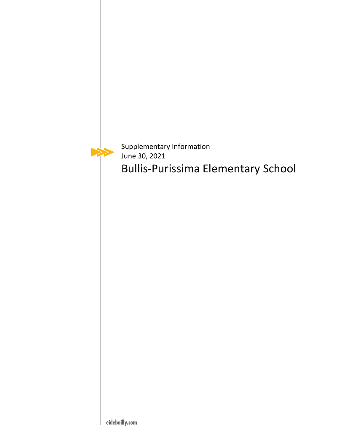⋗

Supplementary Information June 30, 2021 Bullis-Purissima Elementary School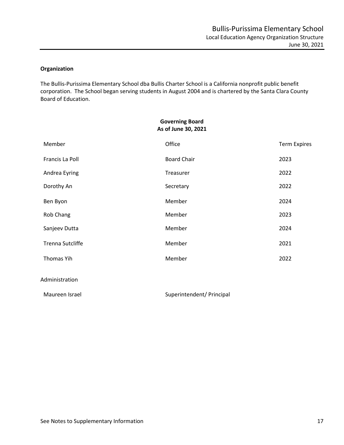## <span id="page-19-1"></span><span id="page-19-0"></span>**Organization**

The Bullis-Purissima Elementary School dba Bullis Charter School is a California nonprofit public benefit corporation. The School began serving students in August 2004 and is chartered by the Santa Clara County Board of Education.

| <b>Governing Board</b><br>As of June 30, 2021 |                    |                     |  |  |
|-----------------------------------------------|--------------------|---------------------|--|--|
| Member                                        | Office             | <b>Term Expires</b> |  |  |
| Francis La Poll                               | <b>Board Chair</b> | 2023                |  |  |
| Andrea Eyring                                 | Treasurer          | 2022                |  |  |
| Dorothy An                                    | Secretary          | 2022                |  |  |
| Ben Byon                                      | Member             | 2024                |  |  |
| Rob Chang                                     | Member             | 2023                |  |  |
| Sanjeev Dutta                                 | Member             | 2024                |  |  |
| <b>Trenna Sutcliffe</b>                       | Member             | 2021                |  |  |
| Thomas Yih                                    | Member             | 2022                |  |  |
| Administration                                |                    |                     |  |  |

Maureen Israel Superintendent/ Principal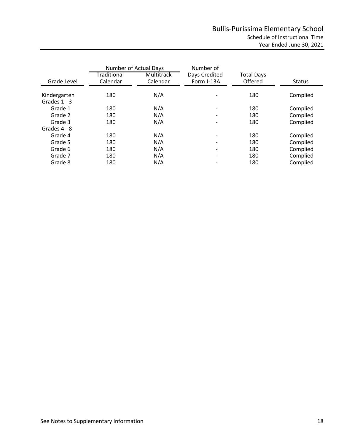<span id="page-20-0"></span>

|                                | Number of Actual Days   |                               | Number of                    |                              |               |
|--------------------------------|-------------------------|-------------------------------|------------------------------|------------------------------|---------------|
| Grade Level                    | Traditional<br>Calendar | <b>Multitrack</b><br>Calendar | Days Credited<br>Form J-13A  | <b>Total Days</b><br>Offered | <b>Status</b> |
| Kindergarten<br>Grades $1 - 3$ | 180                     | N/A                           |                              | 180                          | Complied      |
| Grade 1                        | 180                     | N/A                           | $\overline{\phantom{a}}$     | 180                          | Complied      |
| Grade 2                        | 180                     | N/A                           | $\overline{\phantom{a}}$     | 180                          | Complied      |
| Grade 3                        | 180                     | N/A                           | $\overline{\phantom{a}}$     | 180                          | Complied      |
| Grades 4 - 8                   |                         |                               |                              |                              |               |
| Grade 4                        | 180                     | N/A                           | ۰                            | 180                          | Complied      |
| Grade 5                        | 180                     | N/A                           | $\overline{\phantom{0}}$     | 180                          | Complied      |
| Grade 6                        | 180                     | N/A                           | $\qquad \qquad \blacksquare$ | 180                          | Complied      |
| Grade 7                        | 180                     | N/A                           | $\overline{\phantom{0}}$     | 180                          | Complied      |
| Grade 8                        | 180                     | N/A                           |                              | 180                          | Complied      |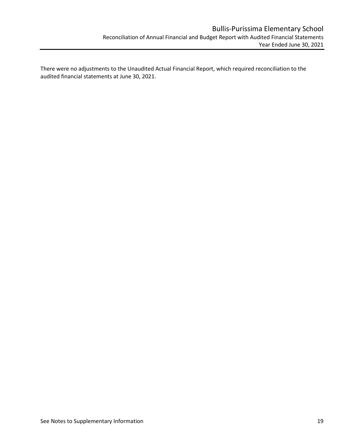<span id="page-21-0"></span>There were no adjustments to the Unaudited Actual Financial Report, which required reconciliation to the audited financial statements at June 30, 2021.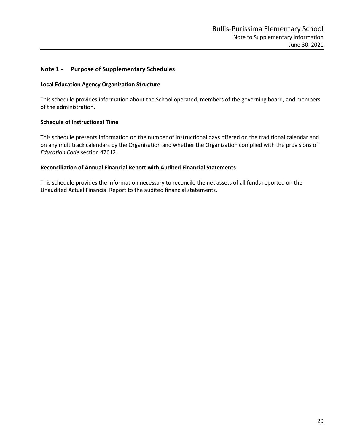## <span id="page-22-0"></span>**Note 1 - Purpose of Supplementary Schedules**

#### **Local Education Agency Organization Structure**

This schedule provides information about the School operated, members of the governing board, and members of the administration.

## **Schedule of Instructional Time**

This schedule presents information on the number of instructional days offered on the traditional calendar and on any multitrack calendars by the Organization and whether the Organization complied with the provisions of *Education Code* section 47612.

## **Reconciliation of Annual Financial Report with Audited Financial Statements**

This schedule provides the information necessary to reconcile the net assets of all funds reported on the Unaudited Actual Financial Report to the audited financial statements.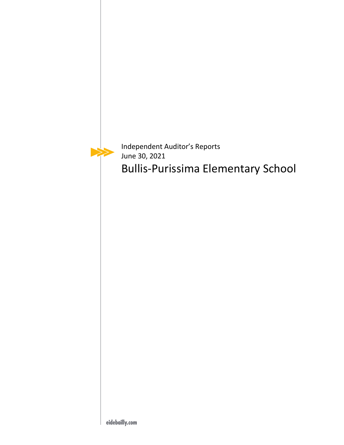

Independent Auditor's Reports June 30, 2021

Bullis-Purissima Elementary School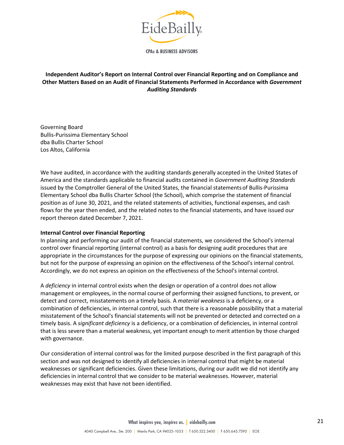

**CPAs & BUSINESS ADVISORS** 

## <span id="page-24-1"></span><span id="page-24-0"></span>**Independent Auditor's Report on Internal Control over Financial Reporting and on Compliance and Other Matters Based on an Audit of Financial Statements Performed in Accordance with** *Government Auditing Standards*

Governing Board Bullis-Purissima Elementary School dba Bullis Charter School Los Altos, California

We have audited, in accordance with the auditing standards generally accepted in the United States of America and the standards applicable to financial audits contained in *Government Auditing Standards* issued by the Comptroller General of the United States, the financial statements of Bullis-Purissima Elementary School dba Bullis Charter School (the School), which comprise the statement of financial position as of June 30, 2021, and the related statements of activities, functional expenses, and cash flows for the year then ended, and the related notes to the financial statements, and have issued our report thereon dated December 7, 2021.

## **Internal Control over Financial Reporting**

In planning and performing our audit of the financial statements, we considered the School's internal control over financial reporting (internal control) as a basis for designing audit procedures that are appropriate in the circumstances for the purpose of expressing our opinions on the financial statements, but not for the purpose of expressing an opinion on the effectiveness of the School's internal control. Accordingly, we do not express an opinion on the effectiveness of the School's internal control.

A *deficiency* in internal control exists when the design or operation of a control does not allow management or employees, in the normal course of performing their assigned functions, to prevent, or detect and correct, misstatements on a timely basis. A *material weakness* is a deficiency, or a combination of deficiencies, in internal control, such that there is a reasonable possibility that a material misstatement of the School's financial statements will not be prevented or detected and corrected on a timely basis. A *significant deficiency* is a deficiency, or a combination of deficiencies, in internal control that is less severe than a material weakness, yet important enough to merit attention by those charged with governance.

Our consideration of internal control was for the limited purpose described in the first paragraph of this section and was not designed to identify all deficiencies in internal control that might be material weaknesses or significant deficiencies. Given these limitations, during our audit we did not identify any deficiencies in internal control that we consider to be material weaknesses. However, material weaknesses may exist that have not been identified.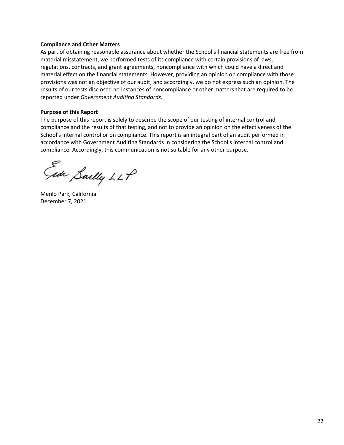#### **Compliance and Other Matters**

As part of obtaining reasonable assurance about whether the School's financial statements are free from material misstatement, we performed tests of its compliance with certain provisions of laws, regulations, contracts, and grant agreements, noncompliance with which could have a direct and material effect on the financial statements. However, providing an opinion on compliance with those provisions was not an objective of our audit, and accordingly, we do not express such an opinion. The results of our tests disclosed no instances of noncompliance or other matters that are required to be reported under *Government Auditing Standards*.

#### **Purpose of this Report**

The purpose of this report is solely to describe the scope of our testing of internal control and compliance and the results of that testing, and not to provide an opinion on the effectiveness of the School's internal control or on compliance. This report is an integral part of an audit performed in accordance with Government Auditing Standards in considering the School's internal control and compliance. Accordingly, this communication is not suitable for any other purpose.

Gide Sailly LLP

Menlo Park, California December 7, 2021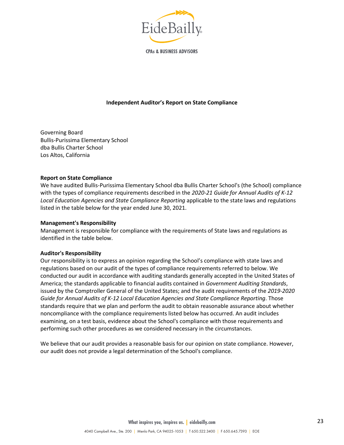

**CPAs & BUSINESS ADVISORS** 

#### **Independent Auditor's Report on State Compliance**

<span id="page-26-0"></span>Governing Board Bullis-Purissima Elementary School dba Bullis Charter School Los Altos, California

#### **Report on State Compliance**

We have audited Bullis-Purissima Elementary School dba Bullis Charter School's (the School) compliance with the types of compliance requirements described in the *2020-21 Guide for Annual Audits of K-12 Local Education Agencies and State Compliance Reporting* applicable to the state laws and regulations listed in the table below for the year ended June 30, 2021.

#### **Management's Responsibility**

Management is responsible for compliance with the requirements of State laws and regulations as identified in the table below.

#### **Auditor's Responsibility**

Our responsibility is to express an opinion regarding the School's compliance with state laws and regulations based on our audit of the types of compliance requirements referred to below. We conducted our audit in accordance with auditing standards generally accepted in the United States of America; the standards applicable to financial audits contained in *Government Auditing Standards*, issued by the Comptroller General of the United States; and the audit requirements of the *2019-2020 Guide for Annual Audits of K-12 Local Education Agencies and State Compliance Reporting*. Those standards require that we plan and perform the audit to obtain reasonable assurance about whether noncompliance with the compliance requirements listed below has occurred. An audit includes examining, on a test basis, evidence about the School's compliance with those requirements and performing such other procedures as we considered necessary in the circumstances.

We believe that our audit provides a reasonable basis for our opinion on state compliance. However, our audit does not provide a legal determination of the School's compliance.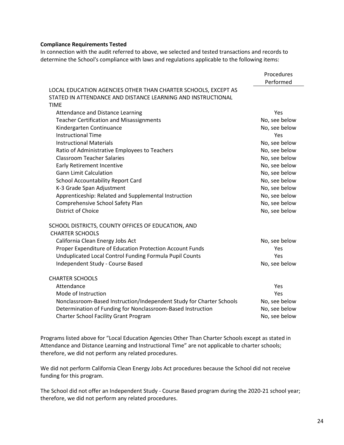#### **Compliance Requirements Tested**

In connection with the audit referred to above, we selected and tested transactions and records to determine the School's compliance with laws and regulations applicable to the following items:

|                                                                                                                                | Procedures<br>Performed |
|--------------------------------------------------------------------------------------------------------------------------------|-------------------------|
| LOCAL EDUCATION AGENCIES OTHER THAN CHARTER SCHOOLS, EXCEPT AS<br>STATED IN ATTENDANCE AND DISTANCE LEARNING AND INSTRUCTIONAL |                         |
| <b>TIME</b>                                                                                                                    |                         |
| Attendance and Distance Learning                                                                                               | Yes                     |
| <b>Teacher Certification and Misassignments</b>                                                                                | No, see below           |
| Kindergarten Continuance                                                                                                       | No, see below           |
| <b>Instructional Time</b>                                                                                                      | Yes                     |
| <b>Instructional Materials</b>                                                                                                 | No, see below           |
| Ratio of Administrative Employees to Teachers                                                                                  | No, see below           |
| <b>Classroom Teacher Salaries</b>                                                                                              | No, see below           |
| Early Retirement Incentive                                                                                                     | No, see below           |
| <b>Gann Limit Calculation</b>                                                                                                  | No, see below           |
| <b>School Accountability Report Card</b>                                                                                       | No, see below           |
| K-3 Grade Span Adjustment                                                                                                      | No, see below           |
| Apprenticeship: Related and Supplemental Instruction                                                                           | No, see below           |
| Comprehensive School Safety Plan                                                                                               | No, see below           |
| District of Choice                                                                                                             | No, see below           |
| SCHOOL DISTRICTS, COUNTY OFFICES OF EDUCATION, AND<br><b>CHARTER SCHOOLS</b>                                                   |                         |
| California Clean Energy Jobs Act                                                                                               | No, see below           |
| Proper Expenditure of Education Protection Account Funds                                                                       | Yes                     |
| Unduplicated Local Control Funding Formula Pupil Counts                                                                        | Yes                     |
| Independent Study - Course Based                                                                                               | No, see below           |
| <b>CHARTER SCHOOLS</b>                                                                                                         |                         |
| Attendance                                                                                                                     | Yes                     |
| Mode of Instruction                                                                                                            | Yes                     |
| Nonclassroom-Based Instruction/Independent Study for Charter Schools                                                           | No, see below           |
| Determination of Funding for Nonclassroom-Based Instruction                                                                    | No, see below           |
| <b>Charter School Facility Grant Program</b>                                                                                   | No, see below           |

Programs listed above for "Local Education Agencies Other Than Charter Schools except as stated in Attendance and Distance Learning and Instructional Time" are not applicable to charter schools; therefore, we did not perform any related procedures.

We did not perform California Clean Energy Jobs Act procedures because the School did not receive funding for this program.

The School did not offer an Independent Study - Course Based program during the 2020-21 school year; therefore, we did not perform any related procedures.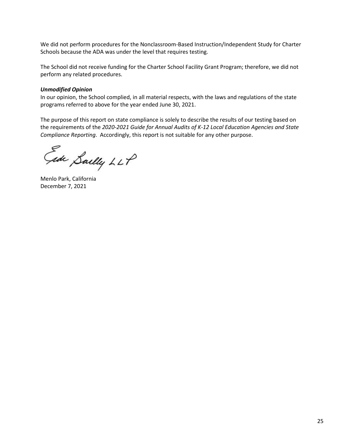We did not perform procedures for the Nonclassroom-Based Instruction/Independent Study for Charter Schools because the ADA was under the level that requires testing.

The School did not receive funding for the Charter School Facility Grant Program; therefore, we did not perform any related procedures.

## *Unmodified Opinion*

In our opinion, the School complied, in all material respects, with the laws and regulations of the state programs referred to above for the year ended June 30, 2021.

The purpose of this report on state compliance is solely to describe the results of our testing based on the requirements of the *2020-2021 Guide for Annual Audits of K-12 Local Education Agencies and State Compliance Reporting*. Accordingly, this report is not suitable for any other purpose.

Fade Sailly LLP

Menlo Park, California December 7, 2021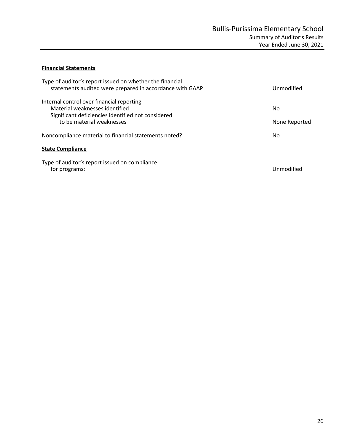# <span id="page-29-1"></span><span id="page-29-0"></span>**Financial Statements**

| Type of auditor's report issued on whether the financial<br>statements audited were prepared in accordance with GAAP                                           | Unmodified          |
|----------------------------------------------------------------------------------------------------------------------------------------------------------------|---------------------|
| Internal control over financial reporting<br>Material weaknesses identified<br>Significant deficiencies identified not considered<br>to be material weaknesses | No<br>None Reported |
| Noncompliance material to financial statements noted?                                                                                                          | No.                 |
| <b>State Compliance</b>                                                                                                                                        |                     |
| Type of auditor's report issued on compliance<br>for programs:                                                                                                 | Unmodified          |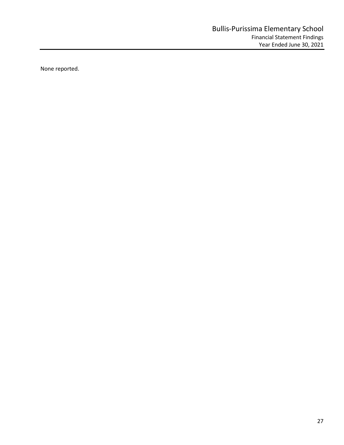<span id="page-30-0"></span>None reported.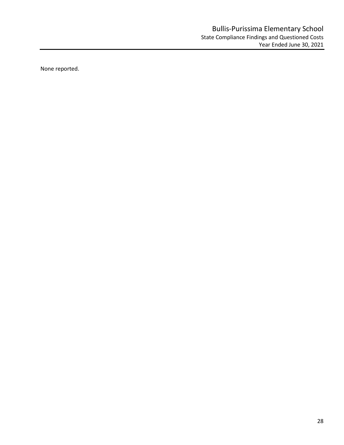<span id="page-31-0"></span>None reported.